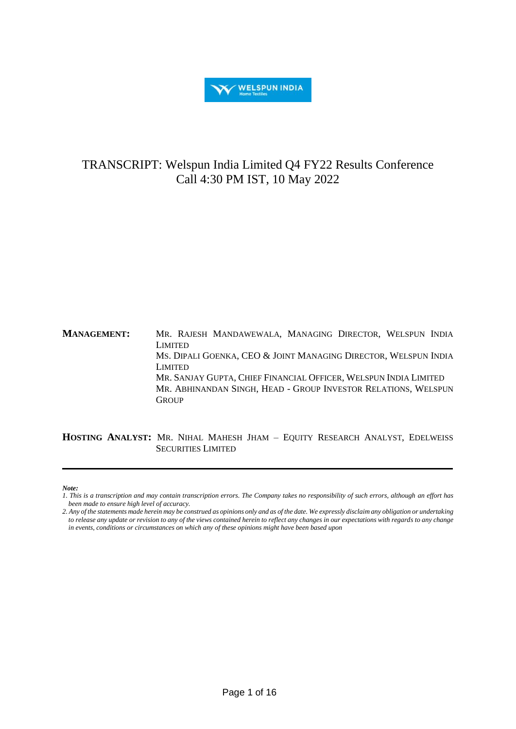

## TRANSCRIPT: Welspun India Limited Q4 FY22 Results Conference Call 4:30 PM IST, 10 May 2022

## **MANAGEMENT:** MR. RAJESH MANDAWEWALA, MANAGING DIRECTOR, WELSPUN INDIA LIMITED MS. DIPALI GOENKA, CEO & JOINT MANAGING DIRECTOR, WELSPUN INDIA LIMITED MR. SANJAY GUPTA, CHIEF FINANCIAL OFFICER, WELSPUN INDIA LIMITED MR. ABHINANDAN SINGH, HEAD - GROUP INVESTOR RELATIONS, WELSPUN **GROUP**

## **HOSTING ANALYST:** MR. NIHAL MAHESH JHAM – EQUITY RESEARCH ANALYST, EDELWEISS SECURITIES LIMITED

*Note:* 

*<sup>1.</sup> This is a transcription and may contain transcription errors. The Company takes no responsibility of such errors, although an effort has been made to ensure high level of accuracy.*

*<sup>2.</sup> Any of the statements made herein may be construed as opinions only and as of the date. We expressly disclaim any obligation or undertaking to release any update or revision to any of the views contained herein to reflect any changes in our expectations with regards to any change in events, conditions or circumstances on which any of these opinions might have been based upon*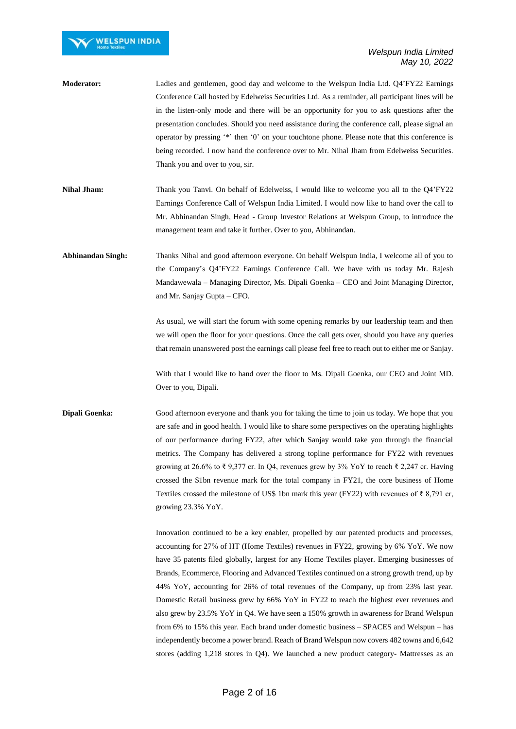- **Moderator:** Ladies and gentlemen, good day and welcome to the Welspun India Ltd. Q4'FY22 Earnings Conference Call hosted by Edelweiss Securities Ltd. As a reminder, all participant lines will be in the listen-only mode and there will be an opportunity for you to ask questions after the presentation concludes. Should you need assistance during the conference call, please signal an operator by pressing '\*' then '0' on your touchtone phone. Please note that this conference is being recorded. I now hand the conference over to Mr. Nihal Jham from Edelweiss Securities. Thank you and over to you, sir.
- **Nihal Jham:** Thank you Tanvi. On behalf of Edelweiss, I would like to welcome you all to the Q4'FY22 Earnings Conference Call of Welspun India Limited. I would now like to hand over the call to Mr. Abhinandan Singh, Head - Group Investor Relations at Welspun Group, to introduce the management team and take it further. Over to you, Abhinandan.
- **Abhinandan Singh:** Thanks Nihal and good afternoon everyone. On behalf Welspun India, I welcome all of you to the Company's Q4'FY22 Earnings Conference Call. We have with us today Mr. Rajesh Mandawewala – Managing Director, Ms. Dipali Goenka – CEO and Joint Managing Director, and Mr. Sanjay Gupta – CFO.

As usual, we will start the forum with some opening remarks by our leadership team and then we will open the floor for your questions. Once the call gets over, should you have any queries that remain unanswered post the earnings call please feel free to reach out to either me or Sanjay.

With that I would like to hand over the floor to Ms. Dipali Goenka, our CEO and Joint MD. Over to you, Dipali.

**Dipali Goenka:** Good afternoon everyone and thank you for taking the time to join us today. We hope that you are safe and in good health. I would like to share some perspectives on the operating highlights of our performance during FY22, after which Sanjay would take you through the financial metrics. The Company has delivered a strong topline performance for FY22 with revenues growing at 26.6% to  $\bar{\xi}$  9,377 cr. In Q4, revenues grew by 3% YoY to reach  $\bar{\xi}$  2,247 cr. Having crossed the \$1bn revenue mark for the total company in FY21, the core business of Home Textiles crossed the milestone of US\$ 1bn mark this year (FY22) with revenues of ₹ 8,791 cr, growing 23.3% YoY.

> Innovation continued to be a key enabler, propelled by our patented products and processes, accounting for 27% of HT (Home Textiles) revenues in FY22, growing by 6% YoY. We now have 35 patents filed globally, largest for any Home Textiles player. Emerging businesses of Brands, Ecommerce, Flooring and Advanced Textiles continued on a strong growth trend, up by 44% YoY, accounting for 26% of total revenues of the Company, up from 23% last year. Domestic Retail business grew by 66% YoY in FY22 to reach the highest ever revenues and also grew by 23.5% YoY in Q4. We have seen a 150% growth in awareness for Brand Welspun from 6% to 15% this year. Each brand under domestic business – SPACES and Welspun – has independently become a power brand. Reach of Brand Welspun now covers 482 towns and 6,642 stores (adding 1,218 stores in Q4). We launched a new product category- Mattresses as an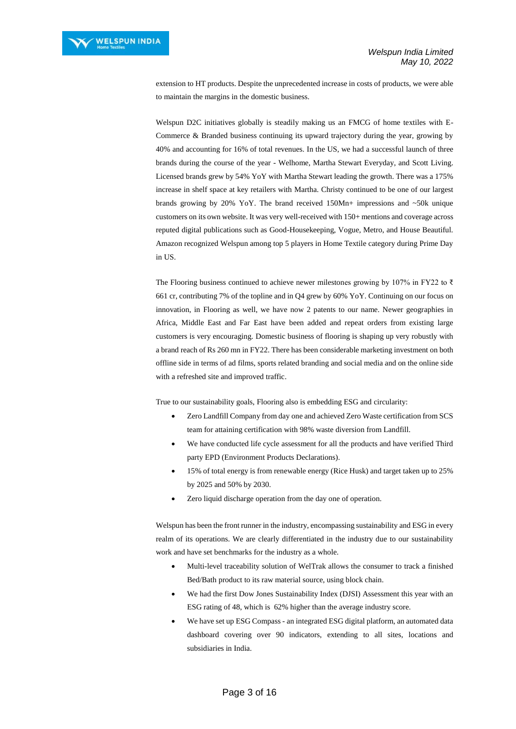extension to HT products. Despite the unprecedented increase in costs of products, we were able to maintain the margins in the domestic business.

Welspun D2C initiatives globally is steadily making us an FMCG of home textiles with E-Commerce & Branded business continuing its upward trajectory during the year, growing by 40% and accounting for 16% of total revenues. In the US, we had a successful launch of three brands during the course of the year - Welhome, Martha Stewart Everyday, and Scott Living. Licensed brands grew by 54% YoY with Martha Stewart leading the growth. There was a 175% increase in shelf space at key retailers with Martha. Christy continued to be one of our largest brands growing by 20% YoY. The brand received 150Mn+ impressions and ~50k unique customers on its own website. It was very well-received with 150+ mentions and coverage across reputed digital publications such as Good-Housekeeping, Vogue, Metro, and House Beautiful. Amazon recognized Welspun among top 5 players in Home Textile category during Prime Day in US.

The Flooring business continued to achieve newer milestones growing by 107% in FY22 to  $\bar{\tau}$ 661 cr, contributing 7% of the topline and in Q4 grew by 60% YoY. Continuing on our focus on innovation, in Flooring as well, we have now 2 patents to our name. Newer geographies in Africa, Middle East and Far East have been added and repeat orders from existing large customers is very encouraging. Domestic business of flooring is shaping up very robustly with a brand reach of Rs 260 mn in FY22. There has been considerable marketing investment on both offline side in terms of ad films, sports related branding and social media and on the online side with a refreshed site and improved traffic.

True to our sustainability goals, Flooring also is embedding ESG and circularity:

- Zero Landfill Company from day one and achieved Zero Waste certification from SCS team for attaining certification with 98% waste diversion from Landfill.
- We have conducted life cycle assessment for all the products and have verified Third party EPD (Environment Products Declarations).
- 15% of total energy is from renewable energy (Rice Husk) and target taken up to 25% by 2025 and 50% by 2030.
- Zero liquid discharge operation from the day one of operation.

Welspun has been the front runner in the industry, encompassing sustainability and ESG in every realm of its operations. We are clearly differentiated in the industry due to our sustainability work and have set benchmarks for the industry as a whole.

- Multi-level traceability solution of WelTrak allows the consumer to track a finished Bed/Bath product to its raw material source, using block chain.
- We had the first Dow Jones Sustainability Index (DJSI) Assessment this year with an ESG rating of 48, which is 62% higher than the average industry score.
- We have set up ESG Compass an integrated ESG digital platform, an automated data dashboard covering over 90 indicators, extending to all sites, locations and subsidiaries in India.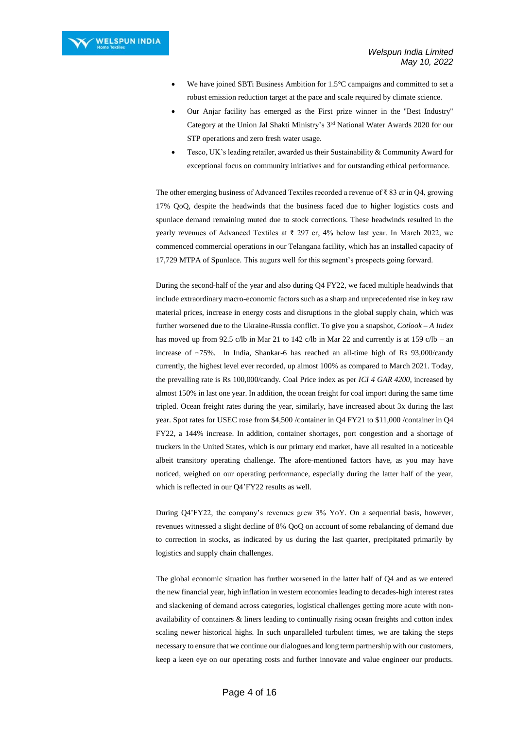- We have joined SBTi Business Ambition for 1.5°C campaigns and committed to set a robust emission reduction target at the pace and scale required by climate science.
- Our Anjar facility has emerged as the First prize winner in the ''Best Industry'' Category at the Union Jal Shakti Ministry's 3<sup>rd</sup> National Water Awards 2020 for our STP operations and zero fresh water usage.
- Tesco, UK's leading retailer, awarded us their Sustainability & Community Award for exceptional focus on community initiatives and for outstanding ethical performance.

The other emerging business of Advanced Textiles recorded a revenue of ₹ 83 cr in Q4, growing 17% QoQ, despite the headwinds that the business faced due to higher logistics costs and spunlace demand remaining muted due to stock corrections. These headwinds resulted in the yearly revenues of Advanced Textiles at ₹ 297 cr, 4% below last year. In March 2022, we commenced commercial operations in our Telangana facility, which has an installed capacity of 17,729 MTPA of Spunlace. This augurs well for this segment's prospects going forward.

During the second-half of the year and also during Q4 FY22, we faced multiple headwinds that include extraordinary macro-economic factors such as a sharp and unprecedented rise in key raw material prices, increase in energy costs and disruptions in the global supply chain, which was further worsened due to the Ukraine-Russia conflict. To give you a snapshot, *Cotlook – A Index* has moved up from 92.5 c/lb in Mar 21 to 142 c/lb in Mar 22 and currently is at 159 c/lb – an increase of  $\sim$ 75%. In India, Shankar-6 has reached an all-time high of Rs 93,000/candy currently, the highest level ever recorded, up almost 100% as compared to March 2021. Today, the prevailing rate is Rs 100,000/candy. Coal Price index as per *ICI 4 GAR 4200*, increased by almost 150% in last one year. In addition, the ocean freight for coal import during the same time tripled. Ocean freight rates during the year, similarly, have increased about 3x during the last year. Spot rates for USEC rose from \$4,500 /container in Q4 FY21 to \$11,000 /container in Q4 FY22, a 144% increase. In addition, container shortages, port congestion and a shortage of truckers in the United States, which is our primary end market, have all resulted in a noticeable albeit transitory operating challenge. The afore-mentioned factors have, as you may have noticed, weighed on our operating performance, especially during the latter half of the year, which is reflected in our Q4'FY22 results as well.

During Q4'FY22, the company's revenues grew 3% YoY. On a sequential basis, however, revenues witnessed a slight decline of 8% QoQ on account of some rebalancing of demand due to correction in stocks, as indicated by us during the last quarter, precipitated primarily by logistics and supply chain challenges.

The global economic situation has further worsened in the latter half of Q4 and as we entered the new financial year, high inflation in western economies leading to decades-high interest rates and slackening of demand across categories, logistical challenges getting more acute with nonavailability of containers & liners leading to continually rising ocean freights and cotton index scaling newer historical highs. In such unparalleled turbulent times, we are taking the steps necessary to ensure that we continue our dialogues and long term partnership with our customers, keep a keen eye on our operating costs and further innovate and value engineer our products.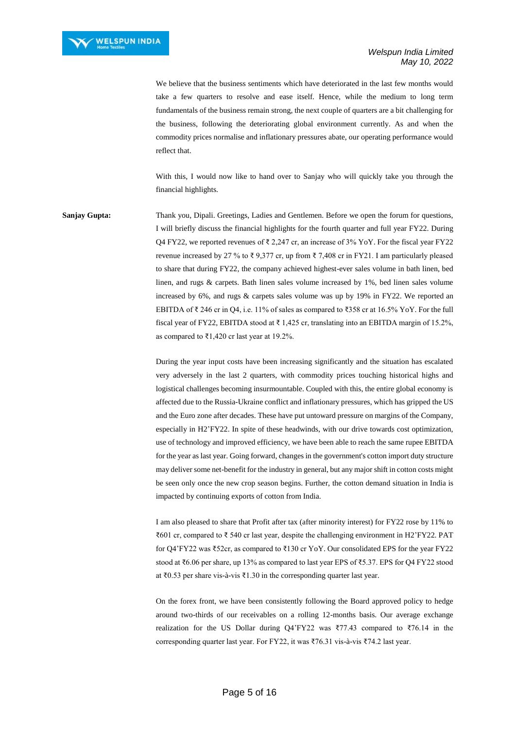We believe that the business sentiments which have deteriorated in the last few months would take a few quarters to resolve and ease itself. Hence, while the medium to long term fundamentals of the business remain strong, the next couple of quarters are a bit challenging for the business, following the deteriorating global environment currently. As and when the commodity prices normalise and inflationary pressures abate, our operating performance would reflect that.

With this, I would now like to hand over to Sanjay who will quickly take you through the financial highlights.

**Sanjay Gupta:** Thank you, Dipali. Greetings, Ladies and Gentlemen. Before we open the forum for questions, I will briefly discuss the financial highlights for the fourth quarter and full year FY22. During Q4 FY22, we reported revenues of  $\overline{\xi}$  2,247 cr, an increase of 3% YoY. For the fiscal year FY22 revenue increased by 27 % to ₹ 9,377 cr, up from ₹ 7,408 cr in FY21. I am particularly pleased to share that during FY22, the company achieved highest-ever sales volume in bath linen, bed linen, and rugs & carpets. Bath linen sales volume increased by 1%, bed linen sales volume increased by 6%, and rugs & carpets sales volume was up by 19% in FY22. We reported an EBITDA of ₹ 246 cr in Q4, i.e. 11% of sales as compared to ₹358 cr at 16.5% YoY. For the full fiscal year of FY22, EBITDA stood at ₹ 1,425 cr, translating into an EBITDA margin of 15.2%, as compared to ₹1,420 cr last year at 19.2%.

> During the year input costs have been increasing significantly and the situation has escalated very adversely in the last 2 quarters, with commodity prices touching historical highs and logistical challenges becoming insurmountable. Coupled with this, the entire global economy is affected due to the Russia-Ukraine conflict and inflationary pressures, which has gripped the US and the Euro zone after decades. These have put untoward pressure on margins of the Company, especially in H2'FY22. In spite of these headwinds, with our drive towards cost optimization, use of technology and improved efficiency, we have been able to reach the same rupee EBITDA for the year as last year. Going forward, changes in the government's cotton import duty structure may deliver some net-benefit for the industry in general, but any major shift in cotton costs might be seen only once the new crop season begins. Further, the cotton demand situation in India is impacted by continuing exports of cotton from India.

> I am also pleased to share that Profit after tax (after minority interest) for FY22 rose by 11% to ₹601 cr, compared to ₹ 540 cr last year, despite the challenging environment in H2'FY22. PAT for Q4'FY22 was ₹52cr, as compared to ₹130 cr YoY. Our consolidated EPS for the year FY22 stood at ₹6.06 per share, up 13% as compared to last year EPS of ₹5.37. EPS for Q4 FY22 stood at ₹0.53 per share vis-à-vis ₹1.30 in the corresponding quarter last year.

> On the forex front, we have been consistently following the Board approved policy to hedge around two-thirds of our receivables on a rolling 12-months basis. Our average exchange realization for the US Dollar during Q4'FY22 was ₹77.43 compared to ₹76.14 in the corresponding quarter last year. For FY22, it was ₹76.31 vis-à-vis ₹74.2 last year.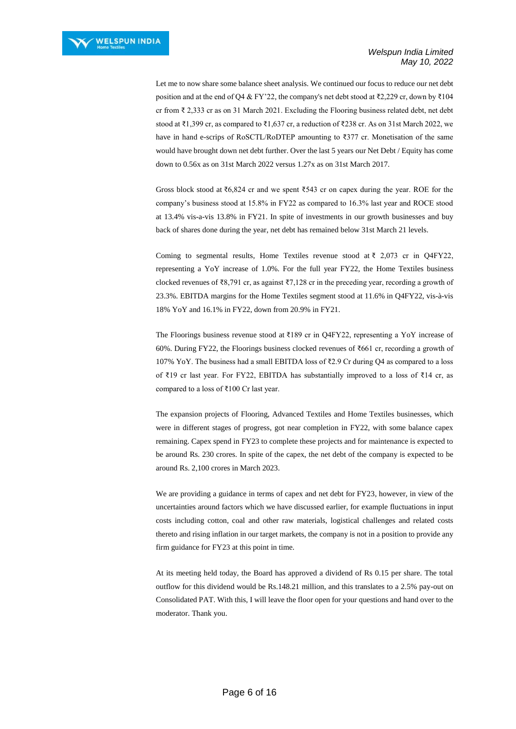Let me to now share some balance sheet analysis. We continued our focus to reduce our net debt position and at the end of Q4 & FY'22, the company's net debt stood at ₹2,229 cr, down by ₹104 cr from ₹ 2,333 cr as on 31 March 2021. Excluding the Flooring business related debt, net debt stood at ₹1,399 cr, as compared to ₹1,637 cr, a reduction of ₹238 cr. As on 31st March 2022, we have in hand e-scrips of RoSCTL/RoDTEP amounting to ₹377 cr. Monetisation of the same would have brought down net debt further. Over the last 5 years our Net Debt / Equity has come down to 0.56x as on 31st March 2022 versus 1.27x as on 31st March 2017.

Gross block stood at  $\overline{6,824}$  cr and we spent  $\overline{6,843}$  cr on capex during the year. ROE for the company's business stood at 15.8% in FY22 as compared to 16.3% last year and ROCE stood at 13.4% vis-a-vis 13.8% in FY21. In spite of investments in our growth businesses and buy back of shares done during the year, net debt has remained below 31st March 21 levels.

Coming to segmental results, Home Textiles revenue stood at  $\bar{\tau}$  2,073 cr in Q4FY22, representing a YoY increase of 1.0%. For the full year FY22, the Home Textiles business clocked revenues of ₹8,791 cr, as against ₹7,128 cr in the preceding year, recording a growth of 23.3%. EBITDA margins for the Home Textiles segment stood at 11.6% in Q4FY22, vis-à-vis 18% YoY and 16.1% in FY22, down from 20.9% in FY21.

The Floorings business revenue stood at ₹189 cr in Q4FY22, representing a YoY increase of 60%. During FY22, the Floorings business clocked revenues of ₹661 cr, recording a growth of 107% YoY. The business had a small EBITDA loss of ₹2.9 Cr during Q4 as compared to a loss of ₹19 cr last year. For FY22, EBITDA has substantially improved to a loss of ₹14 cr, as compared to a loss of ₹100 Cr last year.

The expansion projects of Flooring, Advanced Textiles and Home Textiles businesses, which were in different stages of progress, got near completion in FY22, with some balance capex remaining. Capex spend in FY23 to complete these projects and for maintenance is expected to be around Rs. 230 crores. In spite of the capex, the net debt of the company is expected to be around Rs. 2,100 crores in March 2023.

We are providing a guidance in terms of capex and net debt for FY23, however, in view of the uncertainties around factors which we have discussed earlier, for example fluctuations in input costs including cotton, coal and other raw materials, logistical challenges and related costs thereto and rising inflation in our target markets, the company is not in a position to provide any firm guidance for FY23 at this point in time.

At its meeting held today, the Board has approved a dividend of Rs 0.15 per share. The total outflow for this dividend would be Rs.148.21 million, and this translates to a 2.5% pay-out on Consolidated PAT. With this, I will leave the floor open for your questions and hand over to the moderator. Thank you.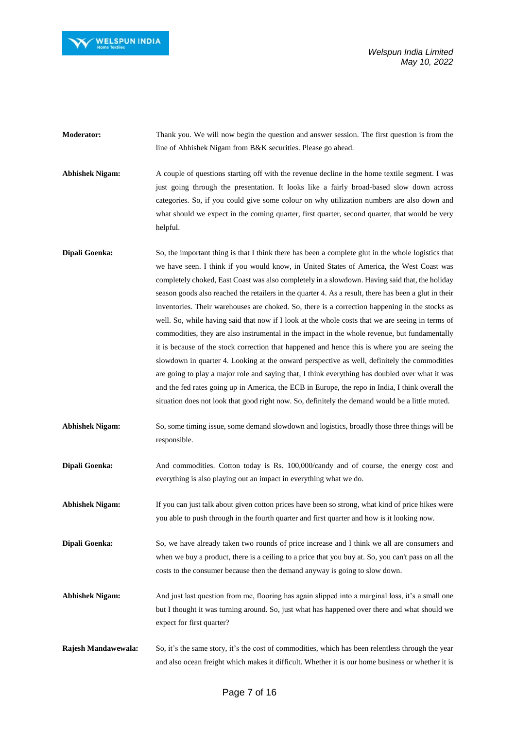

*Welspun India Limited May 10, 2022*

**Moderator:** Thank you. We will now begin the question and answer session. The first question is from the line of Abhishek Nigam from B&K securities. Please go ahead.

**Abhishek Nigam:** A couple of questions starting off with the revenue decline in the home textile segment. I was just going through the presentation. It looks like a fairly broad-based slow down across categories. So, if you could give some colour on why utilization numbers are also down and what should we expect in the coming quarter, first quarter, second quarter, that would be very helpful.

- **Dipali Goenka:** So, the important thing is that I think there has been a complete glut in the whole logistics that we have seen. I think if you would know, in United States of America, the West Coast was completely choked, East Coast was also completely in a slowdown. Having said that, the holiday season goods also reached the retailers in the quarter 4. As a result, there has been a glut in their inventories. Their warehouses are choked. So, there is a correction happening in the stocks as well. So, while having said that now if I look at the whole costs that we are seeing in terms of commodities, they are also instrumental in the impact in the whole revenue, but fundamentally it is because of the stock correction that happened and hence this is where you are seeing the slowdown in quarter 4. Looking at the onward perspective as well, definitely the commodities are going to play a major role and saying that, I think everything has doubled over what it was and the fed rates going up in America, the ECB in Europe, the repo in India, I think overall the situation does not look that good right now. So, definitely the demand would be a little muted.
- **Abhishek Nigam:** So, some timing issue, some demand slowdown and logistics, broadly those three things will be responsible.
- **Dipali Goenka:** And commodities. Cotton today is Rs. 100,000/candy and of course, the energy cost and everything is also playing out an impact in everything what we do.

**Abhishek Nigam:** If you can just talk about given cotton prices have been so strong, what kind of price hikes were you able to push through in the fourth quarter and first quarter and how is it looking now.

**Dipali Goenka:** So, we have already taken two rounds of price increase and I think we all are consumers and when we buy a product, there is a ceiling to a price that you buy at. So, you can't pass on all the costs to the consumer because then the demand anyway is going to slow down.

- **Abhishek Nigam:** And just last question from me, flooring has again slipped into a marginal loss, it's a small one but I thought it was turning around. So, just what has happened over there and what should we expect for first quarter?
- **Rajesh Mandawewala:** So, it's the same story, it's the cost of commodities, which has been relentless through the year and also ocean freight which makes it difficult. Whether it is our home business or whether it is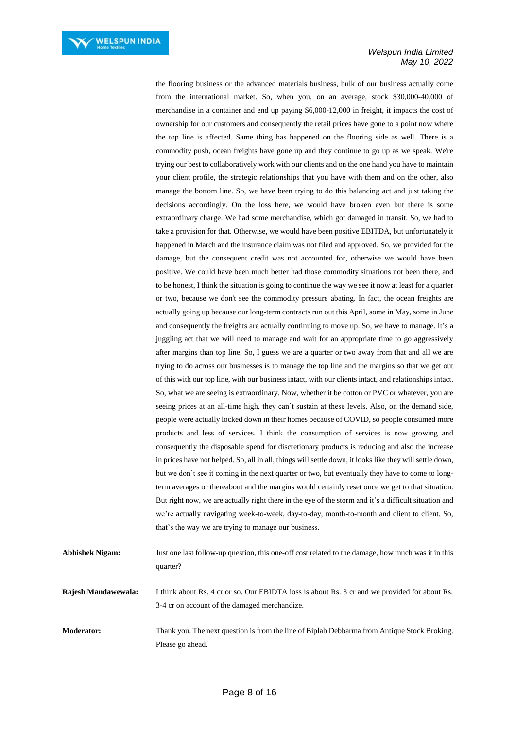the flooring business or the advanced materials business, bulk of our business actually come from the international market. So, when you, on an average, stock \$30,000-40,000 of merchandise in a container and end up paying \$6,000-12,000 in freight, it impacts the cost of ownership for our customers and consequently the retail prices have gone to a point now where the top line is affected. Same thing has happened on the flooring side as well. There is a commodity push, ocean freights have gone up and they continue to go up as we speak. We're trying our best to collaboratively work with our clients and on the one hand you have to maintain your client profile, the strategic relationships that you have with them and on the other, also manage the bottom line. So, we have been trying to do this balancing act and just taking the decisions accordingly. On the loss here, we would have broken even but there is some extraordinary charge. We had some merchandise, which got damaged in transit. So, we had to take a provision for that. Otherwise, we would have been positive EBITDA, but unfortunately it happened in March and the insurance claim was not filed and approved. So, we provided for the damage, but the consequent credit was not accounted for, otherwise we would have been positive. We could have been much better had those commodity situations not been there, and to be honest, I think the situation is going to continue the way we see it now at least for a quarter or two, because we don't see the commodity pressure abating. In fact, the ocean freights are actually going up because our long-term contracts run out this April, some in May, some in June and consequently the freights are actually continuing to move up. So, we have to manage. It's a juggling act that we will need to manage and wait for an appropriate time to go aggressively after margins than top line. So, I guess we are a quarter or two away from that and all we are trying to do across our businesses is to manage the top line and the margins so that we get out of this with our top line, with our business intact, with our clients intact, and relationships intact. So, what we are seeing is extraordinary. Now, whether it be cotton or PVC or whatever, you are seeing prices at an all-time high, they can't sustain at these levels. Also, on the demand side, people were actually locked down in their homes because of COVID, so people consumed more products and less of services. I think the consumption of services is now growing and consequently the disposable spend for discretionary products is reducing and also the increase in prices have not helped. So, all in all, things will settle down, it looks like they will settle down, but we don't see it coming in the next quarter or two, but eventually they have to come to longterm averages or thereabout and the margins would certainly reset once we get to that situation. But right now, we are actually right there in the eye of the storm and it's a difficult situation and we're actually navigating week-to-week, day-to-day, month-to-month and client to client. So, that's the way we are trying to manage our business.

| <b>Abhishek Nigam:</b> | Just one last follow-up question, this one-off cost related to the damage, how much was it in this<br>quarter?                                 |
|------------------------|------------------------------------------------------------------------------------------------------------------------------------------------|
| Rajesh Mandawewala:    | I think about Rs. 4 cr or so. Our EBIDTA loss is about Rs. 3 cr and we provided for about Rs.<br>3-4 cr on account of the damaged merchandize. |
| <b>Moderator:</b>      | Thank you. The next question is from the line of Biplab Debbarma from Antique Stock Broking.<br>Please go ahead.                               |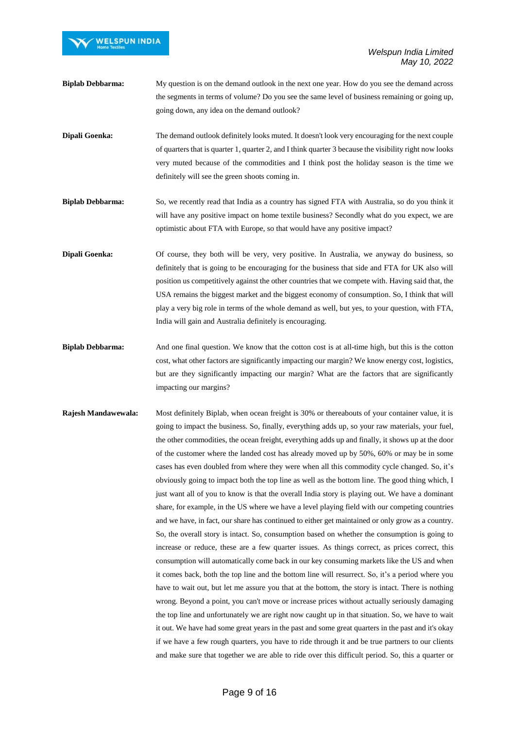

- **Biplab Debbarma:** My question is on the demand outlook in the next one year. How do you see the demand across the segments in terms of volume? Do you see the same level of business remaining or going up, going down, any idea on the demand outlook?
- **Dipali Goenka:** The demand outlook definitely looks muted. It doesn't look very encouraging for the next couple of quarters that is quarter 1, quarter 2, and I think quarter 3 because the visibility right now looks very muted because of the commodities and I think post the holiday season is the time we definitely will see the green shoots coming in.
- **Biplab Debbarma:** So, we recently read that India as a country has signed FTA with Australia, so do you think it will have any positive impact on home textile business? Secondly what do you expect, we are optimistic about FTA with Europe, so that would have any positive impact?
- **Dipali Goenka:** Of course, they both will be very, very positive. In Australia, we anyway do business, so definitely that is going to be encouraging for the business that side and FTA for UK also will position us competitively against the other countries that we compete with. Having said that, the USA remains the biggest market and the biggest economy of consumption. So, I think that will play a very big role in terms of the whole demand as well, but yes, to your question, with FTA, India will gain and Australia definitely is encouraging.
- **Biplab Debbarma:** And one final question. We know that the cotton cost is at all-time high, but this is the cotton cost, what other factors are significantly impacting our margin? We know energy cost, logistics, but are they significantly impacting our margin? What are the factors that are significantly impacting our margins?
- **Rajesh Mandawewala:** Most definitely Biplab, when ocean freight is 30% or thereabouts of your container value, it is going to impact the business. So, finally, everything adds up, so your raw materials, your fuel, the other commodities, the ocean freight, everything adds up and finally, it shows up at the door of the customer where the landed cost has already moved up by 50%, 60% or may be in some cases has even doubled from where they were when all this commodity cycle changed. So, it's obviously going to impact both the top line as well as the bottom line. The good thing which, I just want all of you to know is that the overall India story is playing out. We have a dominant share, for example, in the US where we have a level playing field with our competing countries and we have, in fact, our share has continued to either get maintained or only grow as a country. So, the overall story is intact. So, consumption based on whether the consumption is going to increase or reduce, these are a few quarter issues. As things correct, as prices correct, this consumption will automatically come back in our key consuming markets like the US and when it comes back, both the top line and the bottom line will resurrect. So, it's a period where you have to wait out, but let me assure you that at the bottom, the story is intact. There is nothing wrong. Beyond a point, you can't move or increase prices without actually seriously damaging the top line and unfortunately we are right now caught up in that situation. So, we have to wait it out. We have had some great years in the past and some great quarters in the past and it's okay if we have a few rough quarters, you have to ride through it and be true partners to our clients and make sure that together we are able to ride over this difficult period. So, this a quarter or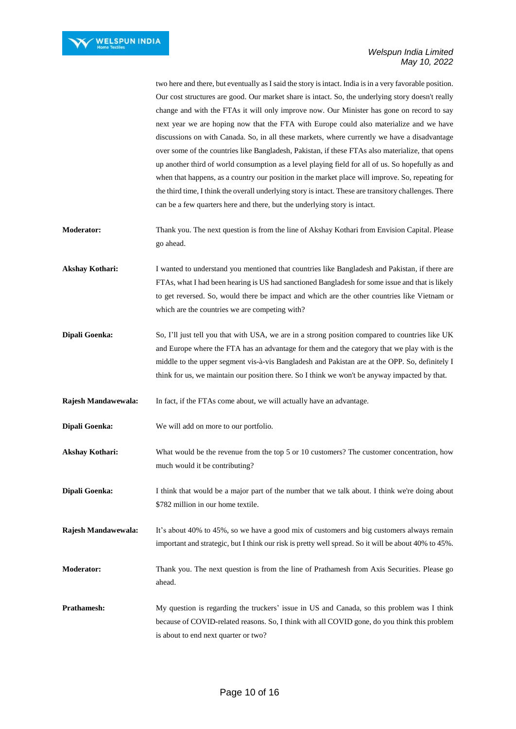two here and there, but eventually as I said the story is intact. India is in a very favorable position. Our cost structures are good. Our market share is intact. So, the underlying story doesn't really change and with the FTAs it will only improve now. Our Minister has gone on record to say next year we are hoping now that the FTA with Europe could also materialize and we have discussions on with Canada. So, in all these markets, where currently we have a disadvantage over some of the countries like Bangladesh, Pakistan, if these FTAs also materialize, that opens up another third of world consumption as a level playing field for all of us. So hopefully as and when that happens, as a country our position in the market place will improve. So, repeating for the third time, I think the overall underlying story is intact. These are transitory challenges. There can be a few quarters here and there, but the underlying story is intact.

- **Moderator:** Thank you. The next question is from the line of Akshay Kothari from Envision Capital. Please go ahead.
- Akshay Kothari: I wanted to understand you mentioned that countries like Bangladesh and Pakistan, if there are FTAs, what I had been hearing is US had sanctioned Bangladesh for some issue and that is likely to get reversed. So, would there be impact and which are the other countries like Vietnam or which are the countries we are competing with?
- **Dipali Goenka:** So, I'll just tell you that with USA, we are in a strong position compared to countries like UK and Europe where the FTA has an advantage for them and the category that we play with is the middle to the upper segment vis-à-vis Bangladesh and Pakistan are at the OPP. So, definitely I think for us, we maintain our position there. So I think we won't be anyway impacted by that.
- **Rajesh Mandawewala:** In fact, if the FTAs come about, we will actually have an advantage.
- **Dipali Goenka:** We will add on more to our portfolio.
- **Akshay Kothari:** What would be the revenue from the top 5 or 10 customers? The customer concentration, how much would it be contributing?
- **Dipali Goenka:** I think that would be a major part of the number that we talk about. I think we're doing about \$782 million in our home textile.
- **Rajesh Mandawewala:** It's about 40% to 45%, so we have a good mix of customers and big customers always remain important and strategic, but I think our risk is pretty well spread. So it will be about 40% to 45%.
- **Moderator:** Thank you. The next question is from the line of Prathamesh from Axis Securities. Please go ahead.
- **Prathamesh:** My question is regarding the truckers' issue in US and Canada, so this problem was I think because of COVID-related reasons. So, I think with all COVID gone, do you think this problem is about to end next quarter or two?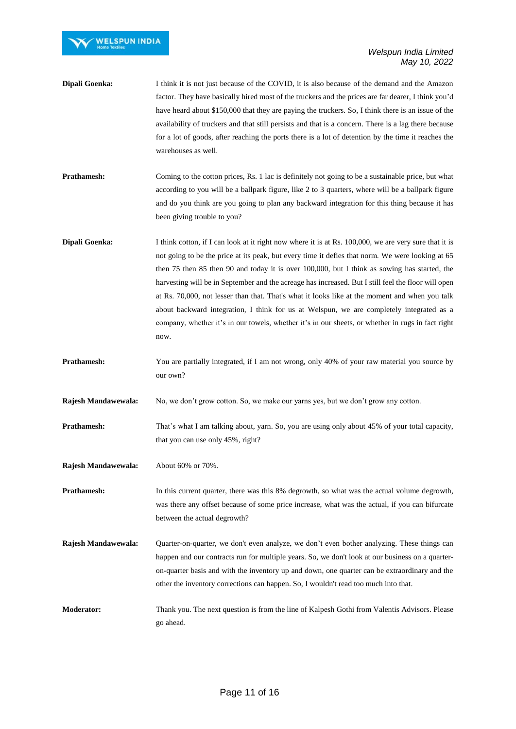

| Dipali Goenka:             | I think it is not just because of the COVID, it is also because of the demand and the Amazon<br>factor. They have basically hired most of the truckers and the prices are far dearer, I think you'd<br>have heard about \$150,000 that they are paying the truckers. So, I think there is an issue of the<br>availability of truckers and that still persists and that is a concern. There is a lag there because<br>for a lot of goods, after reaching the ports there is a lot of detention by the time it reaches the<br>warehouses as well.                                                                                                                                                                             |
|----------------------------|-----------------------------------------------------------------------------------------------------------------------------------------------------------------------------------------------------------------------------------------------------------------------------------------------------------------------------------------------------------------------------------------------------------------------------------------------------------------------------------------------------------------------------------------------------------------------------------------------------------------------------------------------------------------------------------------------------------------------------|
| Prathamesh:                | Coming to the cotton prices, Rs. 1 lac is definitely not going to be a sustainable price, but what<br>according to you will be a ballpark figure, like 2 to 3 quarters, where will be a ballpark figure<br>and do you think are you going to plan any backward integration for this thing because it has<br>been giving trouble to you?                                                                                                                                                                                                                                                                                                                                                                                     |
| Dipali Goenka:             | I think cotton, if I can look at it right now where it is at Rs. 100,000, we are very sure that it is<br>not going to be the price at its peak, but every time it defies that norm. We were looking at 65<br>then 75 then 85 then 90 and today it is over 100,000, but I think as sowing has started, the<br>harvesting will be in September and the acreage has increased. But I still feel the floor will open<br>at Rs. 70,000, not lesser than that. That's what it looks like at the moment and when you talk<br>about backward integration, I think for us at Welspun, we are completely integrated as a<br>company, whether it's in our towels, whether it's in our sheets, or whether in rugs in fact right<br>now. |
| Prathamesh:                | You are partially integrated, if I am not wrong, only 40% of your raw material you source by<br>our own?                                                                                                                                                                                                                                                                                                                                                                                                                                                                                                                                                                                                                    |
| Rajesh Mandawewala:        | No, we don't grow cotton. So, we make our yarns yes, but we don't grow any cotton.                                                                                                                                                                                                                                                                                                                                                                                                                                                                                                                                                                                                                                          |
| Prathamesh:                | That's what I am talking about, yarn. So, you are using only about 45% of your total capacity,<br>that you can use only 45%, right?                                                                                                                                                                                                                                                                                                                                                                                                                                                                                                                                                                                         |
| <b>Rajesh Mandawewala:</b> | About 60% or 70%.                                                                                                                                                                                                                                                                                                                                                                                                                                                                                                                                                                                                                                                                                                           |
| Prathamesh:                | In this current quarter, there was this 8% degrowth, so what was the actual volume degrowth,<br>was there any offset because of some price increase, what was the actual, if you can bifurcate<br>between the actual degrowth?                                                                                                                                                                                                                                                                                                                                                                                                                                                                                              |
| Rajesh Mandawewala:        | Quarter-on-quarter, we don't even analyze, we don't even bother analyzing. These things can<br>happen and our contracts run for multiple years. So, we don't look at our business on a quarter-<br>on-quarter basis and with the inventory up and down, one quarter can be extraordinary and the<br>other the inventory corrections can happen. So, I wouldn't read too much into that.                                                                                                                                                                                                                                                                                                                                     |
| <b>Moderator:</b>          | Thank you. The next question is from the line of Kalpesh Gothi from Valentis Advisors. Please                                                                                                                                                                                                                                                                                                                                                                                                                                                                                                                                                                                                                               |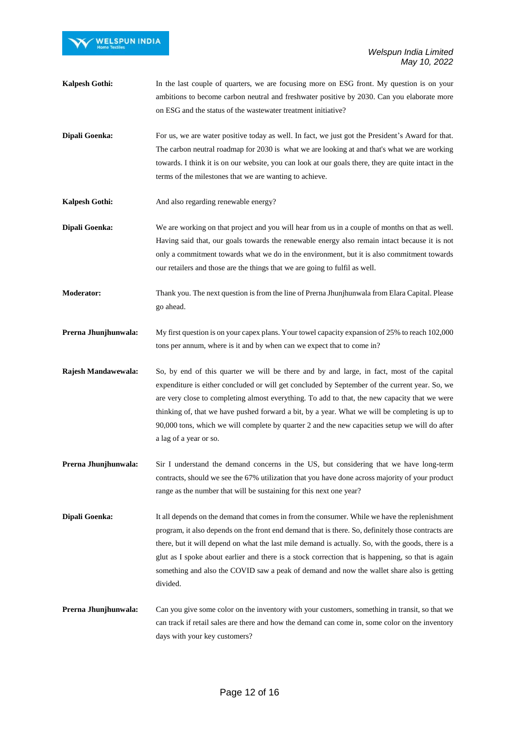

- **Kalpesh Gothi:** In the last couple of quarters, we are focusing more on ESG front. My question is on your ambitions to become carbon neutral and freshwater positive by 2030. Can you elaborate more on ESG and the status of the wastewater treatment initiative?
- **Dipali Goenka:** For us, we are water positive today as well. In fact, we just got the President's Award for that. The carbon neutral roadmap for 2030 is what we are looking at and that's what we are working towards. I think it is on our website, you can look at our goals there, they are quite intact in the terms of the milestones that we are wanting to achieve.
- Kalpesh Gothi: And also regarding renewable energy?
- **Dipali Goenka:** We are working on that project and you will hear from us in a couple of months on that as well. Having said that, our goals towards the renewable energy also remain intact because it is not only a commitment towards what we do in the environment, but it is also commitment towards our retailers and those are the things that we are going to fulfil as well.
- **Moderator:** Thank you. The next question is from the line of Prerna Jhunjhunwala from Elara Capital. Please go ahead.
- **Prerna Jhunjhunwala:** My first question is on your capex plans. Your towel capacity expansion of 25% to reach 102,000 tons per annum, where is it and by when can we expect that to come in?

**Rajesh Mandawewala:** So, by end of this quarter we will be there and by and large, in fact, most of the capital expenditure is either concluded or will get concluded by September of the current year. So, we are very close to completing almost everything. To add to that, the new capacity that we were thinking of, that we have pushed forward a bit, by a year. What we will be completing is up to 90,000 tons, which we will complete by quarter 2 and the new capacities setup we will do after a lag of a year or so.

- **Prerna Jhunjhunwala:** Sir I understand the demand concerns in the US, but considering that we have long-term contracts, should we see the 67% utilization that you have done across majority of your product range as the number that will be sustaining for this next one year?
- **Dipali Goenka:** It all depends on the demand that comes in from the consumer. While we have the replenishment program, it also depends on the front end demand that is there. So, definitely those contracts are there, but it will depend on what the last mile demand is actually. So, with the goods, there is a glut as I spoke about earlier and there is a stock correction that is happening, so that is again something and also the COVID saw a peak of demand and now the wallet share also is getting divided.
- **Prerna Jhunjhunwala:** Can you give some color on the inventory with your customers, something in transit, so that we can track if retail sales are there and how the demand can come in, some color on the inventory days with your key customers?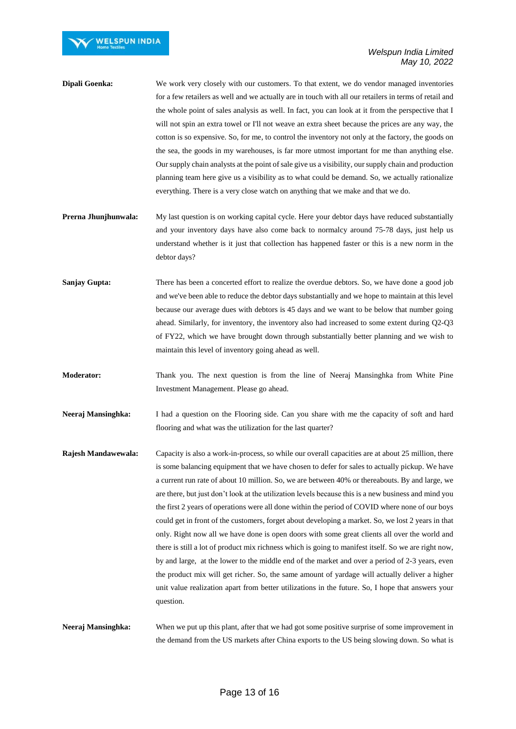- **Dipali Goenka:** We work very closely with our customers. To that extent, we do vendor managed inventories for a few retailers as well and we actually are in touch with all our retailers in terms of retail and the whole point of sales analysis as well. In fact, you can look at it from the perspective that I will not spin an extra towel or I'll not weave an extra sheet because the prices are any way, the cotton is so expensive. So, for me, to control the inventory not only at the factory, the goods on the sea, the goods in my warehouses, is far more utmost important for me than anything else. Our supply chain analysts at the point of sale give us a visibility, our supply chain and production planning team here give us a visibility as to what could be demand. So, we actually rationalize everything. There is a very close watch on anything that we make and that we do.
- **Prerna Jhunjhunwala:** My last question is on working capital cycle. Here your debtor days have reduced substantially and your inventory days have also come back to normalcy around 75-78 days, just help us understand whether is it just that collection has happened faster or this is a new norm in the debtor days?
- **Sanjay Gupta:** There has been a concerted effort to realize the overdue debtors. So, we have done a good job and we've been able to reduce the debtor days substantially and we hope to maintain at this level because our average dues with debtors is 45 days and we want to be below that number going ahead. Similarly, for inventory, the inventory also had increased to some extent during Q2-Q3 of FY22, which we have brought down through substantially better planning and we wish to maintain this level of inventory going ahead as well.
- **Moderator:** Thank you. The next question is from the line of Neeraj Mansinghka from White Pine Investment Management. Please go ahead.
- **Neeraj Mansinghka:** I had a question on the Flooring side. Can you share with me the capacity of soft and hard flooring and what was the utilization for the last quarter?
- **Rajesh Mandawewala:** Capacity is also a work-in-process, so while our overall capacities are at about 25 million, there is some balancing equipment that we have chosen to defer for sales to actually pickup. We have a current run rate of about 10 million. So, we are between 40% or thereabouts. By and large, we are there, but just don't look at the utilization levels because this is a new business and mind you the first 2 years of operations were all done within the period of COVID where none of our boys could get in front of the customers, forget about developing a market. So, we lost 2 years in that only. Right now all we have done is open doors with some great clients all over the world and there is still a lot of product mix richness which is going to manifest itself. So we are right now, by and large, at the lower to the middle end of the market and over a period of 2-3 years, even the product mix will get richer. So, the same amount of yardage will actually deliver a higher unit value realization apart from better utilizations in the future. So, I hope that answers your question.

**Neeraj Mansinghka:** When we put up this plant, after that we had got some positive surprise of some improvement in the demand from the US markets after China exports to the US being slowing down. So what is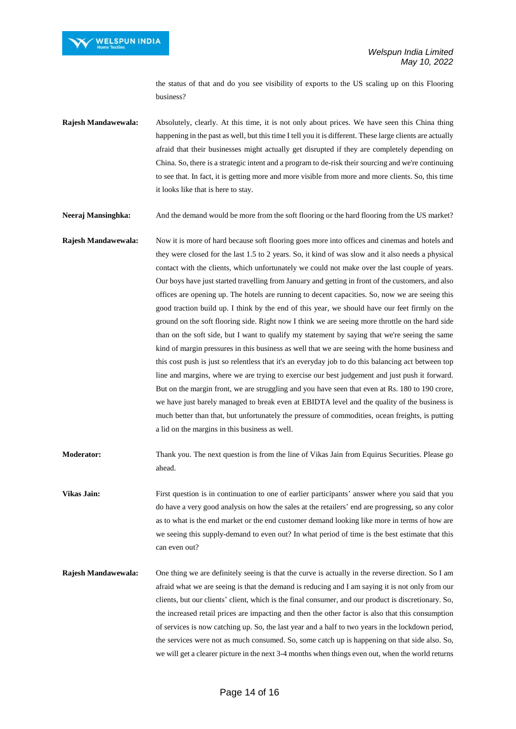

the status of that and do you see visibility of exports to the US scaling up on this Flooring business?

**Rajesh Mandawewala:** Absolutely, clearly. At this time, it is not only about prices. We have seen this China thing happening in the past as well, but this time I tell you it is different. These large clients are actually afraid that their businesses might actually get disrupted if they are completely depending on China. So, there is a strategic intent and a program to de-risk their sourcing and we're continuing to see that. In fact, it is getting more and more visible from more and more clients. So, this time it looks like that is here to stay.

**Neeraj Mansinghka:** And the demand would be more from the soft flooring or the hard flooring from the US market?

- **Rajesh Mandawewala:** Now it is more of hard because soft flooring goes more into offices and cinemas and hotels and they were closed for the last 1.5 to 2 years. So, it kind of was slow and it also needs a physical contact with the clients, which unfortunately we could not make over the last couple of years. Our boys have just started travelling from January and getting in front of the customers, and also offices are opening up. The hotels are running to decent capacities. So, now we are seeing this good traction build up. I think by the end of this year, we should have our feet firmly on the ground on the soft flooring side. Right now I think we are seeing more throttle on the hard side than on the soft side, but I want to qualify my statement by saying that we're seeing the same kind of margin pressures in this business as well that we are seeing with the home business and this cost push is just so relentless that it's an everyday job to do this balancing act between top line and margins, where we are trying to exercise our best judgement and just push it forward. But on the margin front, we are struggling and you have seen that even at Rs. 180 to 190 crore, we have just barely managed to break even at EBIDTA level and the quality of the business is much better than that, but unfortunately the pressure of commodities, ocean freights, is putting a lid on the margins in this business as well.
- **Moderator:** Thank you. The next question is from the line of Vikas Jain from Equirus Securities. Please go ahead.
- **Vikas Jain:** First question is in continuation to one of earlier participants' answer where you said that you do have a very good analysis on how the sales at the retailers' end are progressing, so any color as to what is the end market or the end customer demand looking like more in terms of how are we seeing this supply-demand to even out? In what period of time is the best estimate that this can even out?
- **Rajesh Mandawewala:** One thing we are definitely seeing is that the curve is actually in the reverse direction. So I am afraid what we are seeing is that the demand is reducing and I am saying it is not only from our clients, but our clients' client, which is the final consumer, and our product is discretionary. So, the increased retail prices are impacting and then the other factor is also that this consumption of services is now catching up. So, the last year and a half to two years in the lockdown period, the services were not as much consumed. So, some catch up is happening on that side also. So, we will get a clearer picture in the next 3-4 months when things even out, when the world returns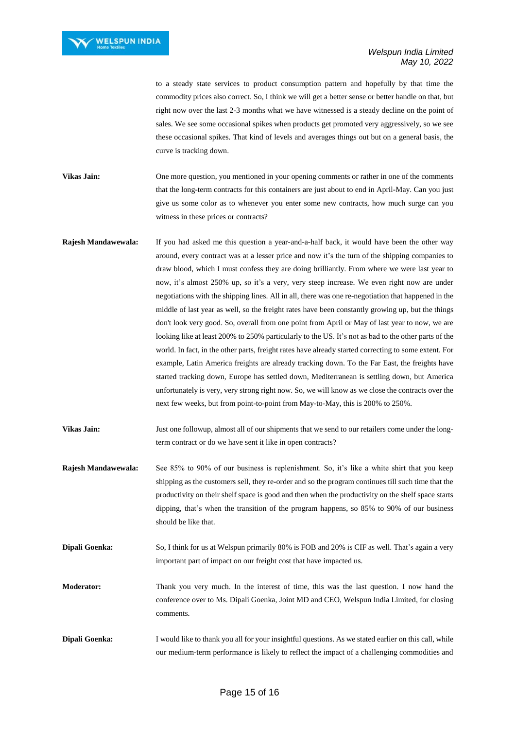

to a steady state services to product consumption pattern and hopefully by that time the commodity prices also correct. So, I think we will get a better sense or better handle on that, but right now over the last 2-3 months what we have witnessed is a steady decline on the point of sales. We see some occasional spikes when products get promoted very aggressively, so we see these occasional spikes. That kind of levels and averages things out but on a general basis, the curve is tracking down.

**Vikas Jain:** One more question, you mentioned in your opening comments or rather in one of the comments that the long-term contracts for this containers are just about to end in April-May. Can you just give us some color as to whenever you enter some new contracts, how much surge can you witness in these prices or contracts?

- **Rajesh Mandawewala:** If you had asked me this question a year-and-a-half back, it would have been the other way around, every contract was at a lesser price and now it's the turn of the shipping companies to draw blood, which I must confess they are doing brilliantly. From where we were last year to now, it's almost 250% up, so it's a very, very steep increase. We even right now are under negotiations with the shipping lines. All in all, there was one re-negotiation that happened in the middle of last year as well, so the freight rates have been constantly growing up, but the things don't look very good. So, overall from one point from April or May of last year to now, we are looking like at least 200% to 250% particularly to the US. It's not as bad to the other parts of the world. In fact, in the other parts, freight rates have already started correcting to some extent. For example, Latin America freights are already tracking down. To the Far East, the freights have started tracking down, Europe has settled down, Mediterranean is settling down, but America unfortunately is very, very strong right now. So, we will know as we close the contracts over the next few weeks, but from point-to-point from May-to-May, this is 200% to 250%.
- **Vikas Jain:** Just one followup, almost all of our shipments that we send to our retailers come under the longterm contract or do we have sent it like in open contracts?
- **Rajesh Mandawewala:** See 85% to 90% of our business is replenishment. So, it's like a white shirt that you keep shipping as the customers sell, they re-order and so the program continues till such time that the productivity on their shelf space is good and then when the productivity on the shelf space starts dipping, that's when the transition of the program happens, so 85% to 90% of our business should be like that.
- **Dipali Goenka:** So, I think for us at Welspun primarily 80% is FOB and 20% is CIF as well. That's again a very important part of impact on our freight cost that have impacted us.

**Moderator:** Thank you very much. In the interest of time, this was the last question. I now hand the conference over to Ms. Dipali Goenka, Joint MD and CEO, Welspun India Limited, for closing comments.

**Dipali Goenka:** I would like to thank you all for your insightful questions. As we stated earlier on this call, while our medium-term performance is likely to reflect the impact of a challenging commodities and